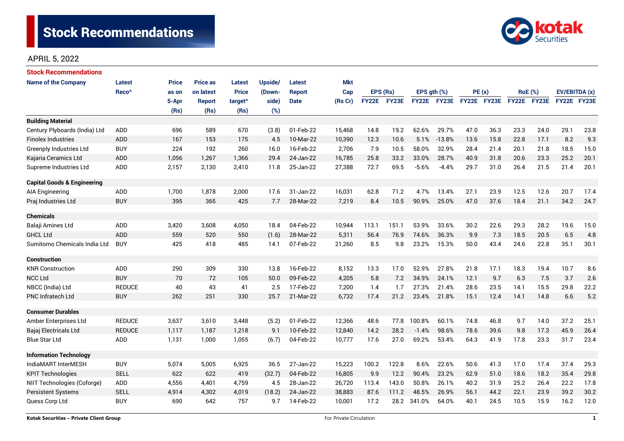

# APRIL 5, 2022

| <b>Stock Recommendations</b>           |                   |              |                 |                     |         |               |            |              |       |              |          |             |      |                |      |               |      |
|----------------------------------------|-------------------|--------------|-----------------|---------------------|---------|---------------|------------|--------------|-------|--------------|----------|-------------|------|----------------|------|---------------|------|
| <b>Name of the Company</b>             | Latest            | <b>Price</b> | <b>Price as</b> | Latest              | Upside/ | Latest        | <b>Mkt</b> |              |       |              |          |             |      |                |      |               |      |
|                                        | Reco <sup>^</sup> | as on        | on latest       | <b>Price</b>        | (Down-  | <b>Report</b> | Cap        | EPS (Rs)     |       | EPS gth (%)  |          | PE(x)       |      | <b>RoE</b> (%) |      | EV/EBITDA (x) |      |
|                                        |                   | 5-Apr        | <b>Report</b>   | target <sup>^</sup> | side)   | <b>Date</b>   | (Rs Cr)    | <b>FY22E</b> | FY23E | <b>FY22E</b> | FY23E    | FY22E FY23E |      | FY22E FY23E    |      | FY22E FY23E   |      |
|                                        |                   | (Rs)         | (Rs)            | (Rs)                | (%)     |               |            |              |       |              |          |             |      |                |      |               |      |
| <b>Building Material</b>               |                   |              |                 |                     |         |               |            |              |       |              |          |             |      |                |      |               |      |
| Century Plyboards (India) Ltd          | ADD               | 696          | 589             | 670                 | (3.8)   | 01-Feb-22     | 15,468     | 14.8         | 19.2  | 62.6%        | 29.7%    | 47.0        | 36.3 | 23.3           | 24.0 | 29.1          | 23.8 |
| <b>Finolex Industries</b>              | <b>ADD</b>        | 167          | 153             | 175                 | 4.5     | 10-Mar-22     | 10,390     | 12.3         | 10.6  | 5.1%         | $-13.8%$ | 13.6        | 15.8 | 22.8           | 17.1 | 8.2           | 9.3  |
| <b>Greenply Industries Ltd</b>         | <b>BUY</b>        | 224          | 192             | 260                 | 16.0    | 16-Feb-22     | 2,706      | 7.9          | 10.5  | 58.0%        | 32.9%    | 28.4        | 21.4 | 20.1           | 21.8 | 18.5          | 15.0 |
| Kajaria Ceramics Ltd                   | ADD               | 1,056        | 1,267           | 1,366               | 29.4    | 24-Jan-22     | 16,785     | 25.8         | 33.2  | 33.0%        | 28.7%    | 40.9        | 31.8 | 20.6           | 23.3 | 25.2          | 20.1 |
| Supreme Industries Ltd                 | ADD               | 2,157        | 2,130           | 2,410               | 11.8    | 25-Jan-22     | 27,388     | 72.7         | 69.5  | $-5.6%$      | $-4.4%$  | 29.7        | 31.0 | 26.4           | 21.5 | 21.4          | 20.1 |
| <b>Capital Goods &amp; Engineering</b> |                   |              |                 |                     |         |               |            |              |       |              |          |             |      |                |      |               |      |
| AIA Engineering                        | <b>ADD</b>        | 1,700        | 1,878           | 2,000               | 17.6    | 31-Jan-22     | 16.031     | 62.8         | 71.2  | 4.7%         | 13.4%    | 27.1        | 23.9 | 12.5           | 12.6 | 20.7          | 17.4 |
| Praj Industries Ltd                    | <b>BUY</b>        | 395          | 365             | 425                 | 7.7     | 28-Mar-22     | 7,219      | 8.4          | 10.5  | 90.9%        | 25.0%    | 47.0        | 37.6 | 18.4           | 21.1 | 34.2          | 24.7 |
| <b>Chemicals</b>                       |                   |              |                 |                     |         |               |            |              |       |              |          |             |      |                |      |               |      |
| Balaji Amines Ltd                      | ADD               | 3,420        | 3,608           | 4,050               | 18.4    | 04-Feb-22     | 10,944     | 113.1        | 151.1 | 53.9%        | 33.6%    | 30.2        | 22.6 | 29.3           | 28.2 | 19.6          | 15.0 |
| <b>GHCL Ltd</b>                        | ADD               | 559          | 520             | 550                 | (1.6)   | 28-Mar-22     | 5,311      | 56.4         | 76.9  | 74.6%        | 36.3%    | 9.9         | 7.3  | 18.5           | 20.5 | 6.5           | 4.8  |
| Sumitomo Chemicals India Ltd           | <b>BUY</b>        | 425          | 418             | 485                 | 14.1    | 07-Feb-22     | 21,260     | 8.5          | 9.8   | 23.2%        | 15.3%    | 50.0        | 43.4 | 24.6           | 22.8 | 35.1          | 30.1 |
| <b>Construction</b>                    |                   |              |                 |                     |         |               |            |              |       |              |          |             |      |                |      |               |      |
| <b>KNR Construction</b>                | ADD               | 290          | 309             | 330                 | 13.8    | 16-Feb-22     | 8,152      | 13.3         | 17.0  | 52.9%        | 27.8%    | 21.8        | 17.1 | 18.3           | 19.4 | 10.7          | 8.6  |
| <b>NCC Ltd</b>                         | <b>BUY</b>        | 70           | 72              | 105                 | 50.0    | 09-Feb-22     | 4,205      | 5.8          | 7.2   | 34.9%        | 24.1%    | 12.1        | 9.7  | 6.3            | 7.5  | 3.7           | 2.6  |
| NBCC (India) Ltd                       | <b>REDUCE</b>     | 40           | 43              | 41                  | 2.5     | 17-Feb-22     | 7,200      | 1.4          | 1.7   | 27.3%        | 21.4%    | 28.6        | 23.5 | 14.1           | 15.5 | 29.8          | 22.2 |
| <b>PNC Infratech Ltd</b>               | <b>BUY</b>        | 262          | 251             | 330                 | 25.7    | 21-Mar-22     | 6,732      | 17.4         | 21.2  | 23.4%        | 21.8%    | 15.1        | 12.4 | 14.1           | 14.8 | 6.6           | 5.2  |
| <b>Consumer Durables</b>               |                   |              |                 |                     |         |               |            |              |       |              |          |             |      |                |      |               |      |
| Amber Enterprises Ltd                  | <b>REDUCE</b>     | 3,637        | 3,610           | 3,448               | (5.2)   | 01-Feb-22     | 12,366     | 48.6         | 77.8  | 100.8%       | 60.1%    | 74.8        | 46.8 | 9.7            | 14.0 | 37.2          | 25.1 |
| Bajaj Electricals Ltd                  | <b>REDUCE</b>     | 1,117        | 1,187           | 1,218               | 9.1     | 10-Feb-22     | 12,840     | 14.2         | 28.2  | $-1.4%$      | 98.6%    | 78.6        | 39.6 | 9.8            | 17.3 | 45.9          | 26.4 |
| <b>Blue Star Ltd</b>                   | ADD               | 1,131        | 1,000           | 1,055               | (6.7)   | 04-Feb-22     | 10,777     | 17.6         | 27.0  | 69.2%        | 53.4%    | 64.3        | 41.9 | 17.8           | 23.3 | 31.7          | 23.4 |
| <b>Information Technology</b>          |                   |              |                 |                     |         |               |            |              |       |              |          |             |      |                |      |               |      |
| IndiaMART InterMESH                    | <b>BUY</b>        | 5.074        | 5,005           | 6,925               | 36.5    | 27-Jan-22     | 15,223     | 100.2        | 122.8 | 8.6%         | 22.6%    | 50.6        | 41.3 | 17.0           | 17.4 | 37.4          | 29.3 |
| <b>KPIT Technologies</b>               | <b>SELL</b>       | 622          | 622             | 419                 | (32.7)  | 04-Feb-22     | 16,805     | 9.9          | 12.2  | 90.4%        | 23.2%    | 62.9        | 51.0 | 18.6           | 18.2 | 35.4          | 29.8 |
| NIIT Technologies (Coforge)            | ADD               | 4,556        | 4,401           | 4,759               | 4.5     | 28-Jan-22     | 26,720     | 113.4        | 143.0 | 50.8%        | 26.1%    | 40.2        | 31.9 | 25.2           | 26.4 | 22.2          | 17.8 |
| <b>Persistent Systems</b>              | <b>SELL</b>       | 4,914        | 4,302           | 4,019               | (18.2)  | 24-Jan-22     | 38,883     | 87.6         | 111.2 | 48.5%        | 26.9%    | 56.1        | 44.2 | 22.1           | 23.9 | 39.2          | 30.2 |
| Quess Corp Ltd                         | <b>BUY</b>        | 690          | 642             | 757                 | 9.7     | 14-Feb-22     | 10,001     | 17.2         | 28.2  | 341.0%       | 64.0%    | 40.1        | 24.5 | 10.5           | 15.9 | 16.2          | 12.0 |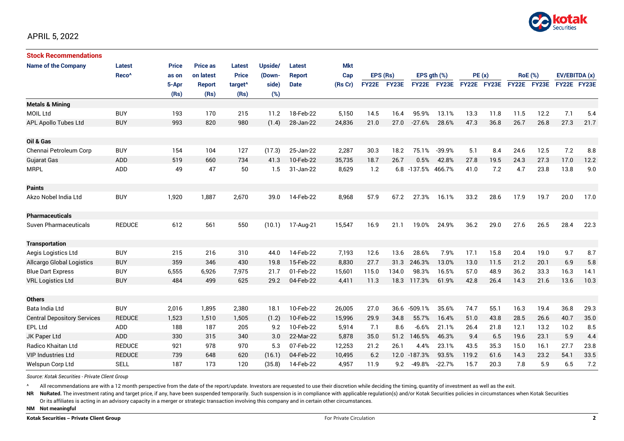

| <b>Stock Recommendations</b>       |                   |              |                 |                     |         |               |            |              |       |                  |              |             |      |                |             |               |      |
|------------------------------------|-------------------|--------------|-----------------|---------------------|---------|---------------|------------|--------------|-------|------------------|--------------|-------------|------|----------------|-------------|---------------|------|
| <b>Name of the Company</b>         | Latest            | <b>Price</b> | <b>Price as</b> | Latest              | Upside/ | Latest        | <b>Mkt</b> |              |       |                  |              |             |      |                |             |               |      |
|                                    | Reco <sup>^</sup> | as on        | on latest       | <b>Price</b>        | (Down-  | <b>Report</b> | Cap        | EPS (Rs)     |       | EPS $gth$ $(\%)$ |              | PE(x)       |      | <b>RoE</b> (%) |             | EV/EBITDA (x) |      |
|                                    |                   | 5-Apr        | <b>Report</b>   | target <sup>^</sup> | side)   | <b>Date</b>   | (Rs Cr)    | <b>FY22E</b> | FY23E | <b>FY22E</b>     | <b>FY23E</b> | FY22E FY23E |      |                | FY22E FY23E | FY22E FY23E   |      |
|                                    |                   | (Rs)         | (Rs)            | (Rs)                | (%)     |               |            |              |       |                  |              |             |      |                |             |               |      |
| <b>Metals &amp; Mining</b>         |                   |              |                 |                     |         |               |            |              |       |                  |              |             |      |                |             |               |      |
| <b>MOIL Ltd</b>                    | <b>BUY</b>        | 193          | 170             | 215                 | 11.2    | 18-Feb-22     | 5,150      | 14.5         | 16.4  | 95.9%            | 13.1%        | 13.3        | 11.8 | 11.5           | 12.2        | 7.1           | 5.4  |
| APL Apollo Tubes Ltd               | <b>BUY</b>        | 993          | 820             | 980                 | (1.4)   | 28-Jan-22     | 24,836     | 21.0         | 27.0  | $-27.6%$         | 28.6%        | 47.3        | 36.8 | 26.7           | 26.8        | 27.3          | 21.7 |
|                                    |                   |              |                 |                     |         |               |            |              |       |                  |              |             |      |                |             |               |      |
| Oil & Gas                          |                   |              |                 |                     |         |               |            |              |       |                  |              |             |      |                |             |               |      |
| Chennai Petroleum Corp             | <b>BUY</b>        | 154          | 104             | 127                 | (17.3)  | 25-Jan-22     | 2,287      | 30.3         | 18.2  | 75.1%            | $-39.9%$     | 5.1         | 8.4  | 24.6           | 12.5        | 7.2           | 8.8  |
| <b>Gujarat Gas</b>                 | <b>ADD</b>        | 519          | 660             | 734                 | 41.3    | 10-Feb-22     | 35,735     | 18.7         | 26.7  | 0.5%             | 42.8%        | 27.8        | 19.5 | 24.3           | 27.3        | 17.0          | 12.2 |
| <b>MRPL</b>                        | <b>ADD</b>        | 49           | 47              | 50                  | 1.5     | 31-Jan-22     | 8,629      | 1.2          |       | 6.8 -137.5%      | 466.7%       | 41.0        | 7.2  | 4.7            | 23.8        | 13.8          | 9.0  |
|                                    |                   |              |                 |                     |         |               |            |              |       |                  |              |             |      |                |             |               |      |
| <b>Paints</b>                      |                   |              |                 |                     |         |               |            |              |       |                  |              |             |      |                |             |               |      |
| Akzo Nobel India Ltd               | <b>BUY</b>        | 1,920        | 1,887           | 2,670               | 39.0    | 14-Feb-22     | 8,968      | 57.9         | 67.2  | 27.3%            | 16.1%        | 33.2        | 28.6 | 17.9           | 19.7        | 20.0          | 17.0 |
|                                    |                   |              |                 |                     |         |               |            |              |       |                  |              |             |      |                |             |               |      |
| <b>Pharmaceuticals</b>             |                   |              |                 |                     |         |               |            |              |       |                  |              |             |      |                |             |               |      |
| <b>Suven Pharmaceuticals</b>       | <b>REDUCE</b>     | 612          | 561             | 550                 | (10.1)  | 17-Aug-21     | 15,547     | 16.9         | 21.1  | 19.0%            | 24.9%        | 36.2        | 29.0 | 27.6           | 26.5        | 28.4          | 22.3 |
|                                    |                   |              |                 |                     |         |               |            |              |       |                  |              |             |      |                |             |               |      |
| <b>Transportation</b>              |                   |              |                 |                     |         |               |            |              |       |                  |              |             |      |                |             |               |      |
| Aegis Logistics Ltd                | <b>BUY</b>        | 215          | 216             | 310                 | 44.0    | 14-Feb-22     | 7,193      | 12.6         | 13.6  | 28.6%            | 7.9%         | 17.1        | 15.8 | 20.4           | 19.0        | 9.7           | 8.7  |
| <b>Allcargo Global Logistics</b>   | <b>BUY</b>        | 359          | 346             | 430                 | 19.8    | 15-Feb-22     | 8,830      | 27.7         | 31.3  | 246.3%           | 13.0%        | 13.0        | 11.5 | 21.2           | 20.1        | 6.9           | 5.8  |
| <b>Blue Dart Express</b>           | <b>BUY</b>        | 6,555        | 6,926           | 7,975               | 21.7    | 01-Feb-22     | 15,601     | 115.0        | 134.0 | 98.3%            | 16.5%        | 57.0        | 48.9 | 36.2           | 33.3        | 16.3          | 14.1 |
| <b>VRL Logistics Ltd</b>           | <b>BUY</b>        | 484          | 499             | 625                 | 29.2    | 04-Feb-22     | 4,411      | 11.3         | 18.3  | 117.3%           | 61.9%        | 42.8        | 26.4 | 14.3           | 21.6        | 13.6          | 10.3 |
|                                    |                   |              |                 |                     |         |               |            |              |       |                  |              |             |      |                |             |               |      |
| <b>Others</b>                      |                   |              |                 |                     |         |               |            |              |       |                  |              |             |      |                |             |               |      |
| Bata India Ltd                     | <b>BUY</b>        | 2,016        | 1,895           | 2,380               | 18.1    | 10-Feb-22     | 26,005     | 27.0         | 36.6  | $-509.1%$        | 35.6%        | 74.7        | 55.1 | 16.3           | 19.4        | 36.8          | 29.3 |
| <b>Central Depository Services</b> | <b>REDUCE</b>     | 1,523        | 1,510           | 1,505               | (1.2)   | 10-Feb-22     | 15,996     | 29.9         | 34.8  | 55.7%            | 16.4%        | 51.0        | 43.8 | 28.5           | 26.6        | 40.7          | 35.0 |
| EPL Ltd                            | <b>ADD</b>        | 188          | 187             | 205                 | 9.2     | 10-Feb-22     | 5,914      | 7.1          | 8.6   | $-6.6%$          | 21.1%        | 26.4        | 21.8 | 12.1           | 13.2        | 10.2          | 8.5  |
| JK Paper Ltd                       | <b>ADD</b>        | 330          | 315             | 340                 | 3.0     | 22-Mar-22     | 5,878      | 35.0         | 51.2  | 146.5%           | 46.3%        | 9.4         | 6.5  | 19.6           | 23.1        | 5.9           | 4.4  |
| Radico Khaitan Ltd                 | <b>REDUCE</b>     | 921          | 978             | 970                 | 5.3     | 07-Feb-22     | 12,253     | 21.2         | 26.1  | 4.4%             | 23.1%        | 43.5        | 35.3 | 15.0           | 16.1        | 27.7          | 23.8 |
| <b>VIP Industries Ltd</b>          | <b>REDUCE</b>     | 739          | 648             | 620                 | (16.1)  | 04-Feb-22     | 10,495     | 6.2          |       | 12.0 -187.3%     | 93.5%        | 119.2       | 61.6 | 14.3           | 23.2        | 54.1          | 33.5 |
| Welspun Corp Ltd                   | <b>SELL</b>       | 187          | 173             | 120                 | (35.8)  | 14-Feb-22     | 4,957      | 11.9         | 9.2   | $-49.8%$         | $-22.7%$     | 15.7        | 20.3 | 7.8            | 5.9         | 6.5           | 7.2  |

*Source: Kotak Securities - Private Client Group*

All recommendations are with a 12 month perspective from the date of the report/update. Investors are requested to use their discretion while deciding the timing, quantity of investment as well as the exit.

NR NoRated. The investment rating and target price, if any, have been suspended temporarily. Such suspension is in compliance with applicable regulation(s) and/or Kotak Securities policies in circumstances when Kotak Secur

Or its affiliates is acting in an advisory capacity in a merger or strategic transaction involving this company and in certain other circumstances.

**NM Not meaningful**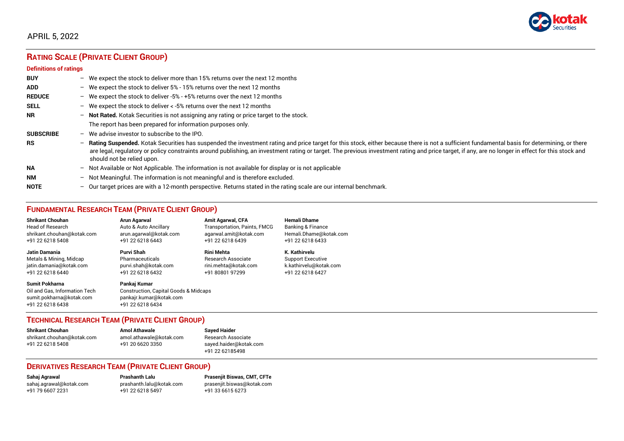

# APRIL 5, 2022

# **RATING SCALE (PRIVATE CLIENT GROUP)**

#### **Definitions of ratings**

| <b>BUY</b>       | $-$               | We expect the stock to deliver more than 15% returns over the next 12 months                                                                                                                                                                                                                                                                                                                                                     |
|------------------|-------------------|----------------------------------------------------------------------------------------------------------------------------------------------------------------------------------------------------------------------------------------------------------------------------------------------------------------------------------------------------------------------------------------------------------------------------------|
| <b>ADD</b>       |                   | - We expect the stock to deliver $5\%$ - 15% returns over the next 12 months                                                                                                                                                                                                                                                                                                                                                     |
| <b>REDUCE</b>    | $-$               | We expect the stock to deliver -5% - +5% returns over the next 12 months                                                                                                                                                                                                                                                                                                                                                         |
| <b>SELL</b>      |                   | - We expect the stock to deliver $\lt$ -5% returns over the next 12 months                                                                                                                                                                                                                                                                                                                                                       |
| <b>NR</b>        |                   | - Not Rated. Kotak Securities is not assigning any rating or price target to the stock.                                                                                                                                                                                                                                                                                                                                          |
|                  |                   | The report has been prepared for information purposes only.                                                                                                                                                                                                                                                                                                                                                                      |
| <b>SUBSCRIBE</b> | $-$               | We advise investor to subscribe to the IPO.                                                                                                                                                                                                                                                                                                                                                                                      |
| <b>RS</b>        | $\qquad \qquad -$ | Rating Suspended. Kotak Securities has suspended the investment rating and price target for this stock, either because there is not a sufficient fundamental basis for determining, or there<br>are legal, regulatory or policy constraints around publishing, an investment rating or target. The previous investment rating and price target, if any, are no longer in effect for this stock and<br>should not be relied upon. |
| <b>NA</b>        |                   | $-$ Not Available or Not Applicable. The information is not available for display or is not applicable                                                                                                                                                                                                                                                                                                                           |
| <b>NM</b>        |                   | - Not Meaningful. The information is not meaningful and is therefore excluded.                                                                                                                                                                                                                                                                                                                                                   |
| <b>NOTE</b>      | -                 | Our target prices are with a 12-month perspective. Returns stated in the rating scale are our internal benchmark.                                                                                                                                                                                                                                                                                                                |

# **FUNDAMENTAL RESEARCH TEAM (PRIVATE CLIENT GROUP)**

| <b>Shrikant Chouhan</b>                                                                                | <b>Arun Agarwal</b>                                                                                             | <b>Amit Agarwal, CFA</b>            | <b>Hemali Dhame</b>      |
|--------------------------------------------------------------------------------------------------------|-----------------------------------------------------------------------------------------------------------------|-------------------------------------|--------------------------|
| <b>Head of Research</b>                                                                                | Auto & Auto Ancillary                                                                                           | <b>Transportation, Paints, FMCG</b> | Banking & Finance        |
| shrikant.chouhan@kotak.com                                                                             | arun.agarwal@kotak.com                                                                                          | agarwal.amit@kotak.com              | Hemali.Dhame@kotak.com   |
| +91 22 6218 5408                                                                                       | +91 22 6218 6443                                                                                                | +91 22 6218 6439                    | +91 22 6218 6433         |
| <b>Jatin Damania</b>                                                                                   | Purvi Shah                                                                                                      | <b>Rini Mehta</b>                   | K. Kathirvelu            |
| Metals & Mining, Midcap                                                                                | Pharmaceuticals                                                                                                 | <b>Research Associate</b>           | <b>Support Executive</b> |
| jatin.damania@kotak.com                                                                                | purvi.shah@kotak.com                                                                                            | rini.mehta@kotak.com                | k.kathirvelu@kotak.com   |
| +91 22 6218 6440                                                                                       | +91 22 6218 6432                                                                                                | +91 80801 97299                     | +91 22 6218 6427         |
| <b>Sumit Pokharna</b><br>Oil and Gas, Information Tech<br>sumit.pokharna@kotak.com<br>+91 22 6218 6438 | Pankaj Kumar<br><b>Construction, Capital Goods &amp; Midcaps</b><br>pankajr.kumar@kotak.com<br>+91 22 6218 6434 |                                     |                          |

### **TECHNICAL RESEARCH TEAM (PRIVATE CLIENT GROUP)**

| <b>Shrikant Chouhan</b>    | <b>Amol Athawale</b>    |  |
|----------------------------|-------------------------|--|
| shrikant.chouhan@kotak.com | amol.athawale@kotak.com |  |
| +91 22 6218 5408           | +91 20 6620 3350        |  |
|                            |                         |  |

**Sayed Haider** Research Associate [sayed.haider@kotak.com](mailto:sayed.haider@kotak.com) +91 22 62185498

### **DERIVATIVES RESEARCH TEAM (PRIVATE CLIENT GROUP)**

+91 22 6218 5497 +91 33 6615 6273

**Sahaj Agrawal Prashanth Lalu Prasenjit Biswas, CMT, CFTe** [sahaj.agrawal@kotak.com](mailto:sahaj.agrawal@kotak.com) [prashanth.lalu@kotak.com](mailto:prashanth.lalu@kotak.com) [prasenjit.biswas@kotak.com](mailto:prasenjit.biswas@kotak.com)